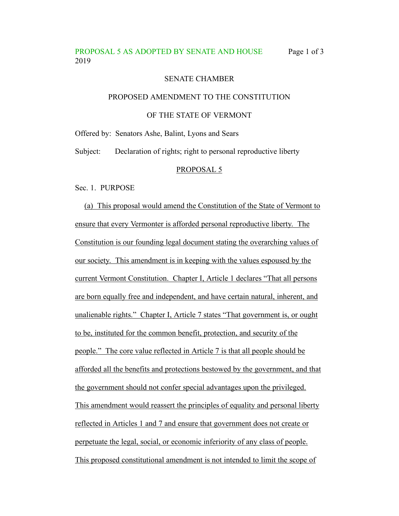# PROPOSAL 5 AS ADOPTED BY SENATE AND HOUSE Page 1 of 3 2019

## SENATE CHAMBER

## PROPOSED AMENDMENT TO THE CONSTITUTION

## OF THE STATE OF VERMONT

Offered by: Senators Ashe, Balint, Lyons and Sears

Subject: Declaration of rights; right to personal reproductive liberty

#### PROPOSAL 5

Sec. 1. PURPOSE

(a) This proposal would amend the Constitution of the State of Vermont to ensure that every Vermonter is afforded personal reproductive liberty. The Constitution is our founding legal document stating the overarching values of our society. This amendment is in keeping with the values espoused by the current Vermont Constitution. Chapter I, Article 1 declares "That all persons are born equally free and independent, and have certain natural, inherent, and unalienable rights." Chapter I, Article 7 states "That government is, or ought to be, instituted for the common benefit, protection, and security of the people." The core value reflected in Article 7 is that all people should be afforded all the benefits and protections bestowed by the government, and that the government should not confer special advantages upon the privileged. This amendment would reassert the principles of equality and personal liberty reflected in Articles 1 and 7 and ensure that government does not create or perpetuate the legal, social, or economic inferiority of any class of people. This proposed constitutional amendment is not intended to limit the scope of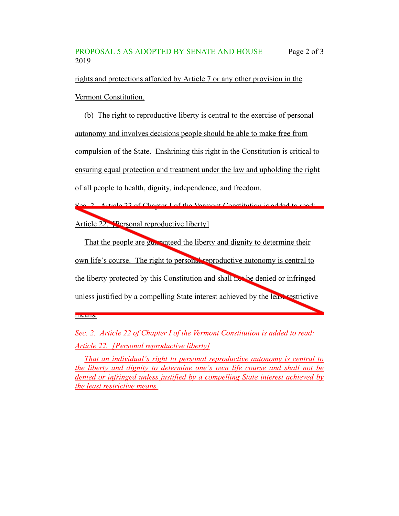## PROPOSAL 5 AS ADOPTED BY SENATE AND HOUSE Page 2 of 3 2019

rights and protections afforded by Article 7 or any other provision in the Vermont Constitution.

(b) The right to reproductive liberty is central to the exercise of personal autonomy and involves decisions people should be able to make free from compulsion of the State. Enshrining this right in the Constitution is critical to ensuring equal protection and treatment under the law and upholding the right of all people to health, dignity, independence, and freedom.

Sec. 2. Article 22 of Chapter I of the Vermont Constitution is added to read: Article 22. [Personal reproductive liberty]

That the people are guaranteed the liberty and dignity to determine their own life's course. The right to personal reproductive autonomy is central to the liberty protected by this Constitution and shall not be denied or infringed unless justified by a compelling State interest achieved by the least restrictive

*Sec. 2. Article 22 of Chapter I of the Vermont Constitution is added to read: Article 22. [Personal reproductive liberty]*

means.

*That an individual's right to personal reproductive autonomy is central to the liberty and dignity to determine one's own life course and shall not be denied or infringed unless justified by a compelling State interest achieved by the least restrictive means.*